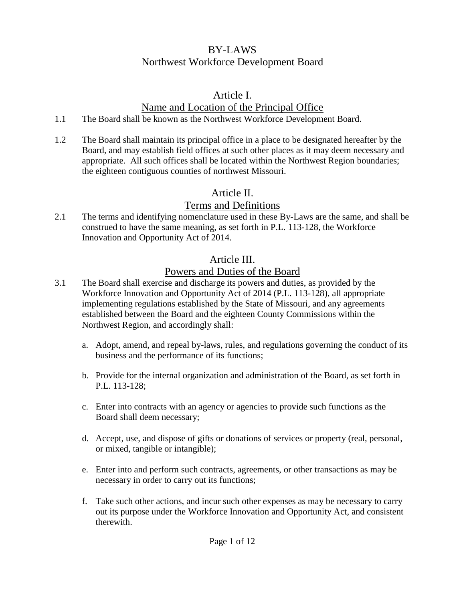## BY-LAWS Northwest Workforce Development Board

### Article I.

## Name and Location of the Principal Office

- 1.1 The Board shall be known as the Northwest Workforce Development Board.
- 1.2 The Board shall maintain its principal office in a place to be designated hereafter by the Board, and may establish field offices at such other places as it may deem necessary and appropriate. All such offices shall be located within the Northwest Region boundaries; the eighteen contiguous counties of northwest Missouri.

# Article II.

# Terms and Definitions

2.1 The terms and identifying nomenclature used in these By-Laws are the same, and shall be construed to have the same meaning, as set forth in P.L. 113-128, the Workforce Innovation and Opportunity Act of 2014.

# Article III.

# Powers and Duties of the Board

- 3.1 The Board shall exercise and discharge its powers and duties, as provided by the Workforce Innovation and Opportunity Act of 2014 (P.L. 113-128), all appropriate implementing regulations established by the State of Missouri, and any agreements established between the Board and the eighteen County Commissions within the Northwest Region, and accordingly shall:
	- a. Adopt, amend, and repeal by-laws, rules, and regulations governing the conduct of its business and the performance of its functions;
	- b. Provide for the internal organization and administration of the Board, as set forth in P.L. 113-128;
	- c. Enter into contracts with an agency or agencies to provide such functions as the Board shall deem necessary;
	- d. Accept, use, and dispose of gifts or donations of services or property (real, personal, or mixed, tangible or intangible);
	- e. Enter into and perform such contracts, agreements, or other transactions as may be necessary in order to carry out its functions;
	- f. Take such other actions, and incur such other expenses as may be necessary to carry out its purpose under the Workforce Innovation and Opportunity Act, and consistent therewith.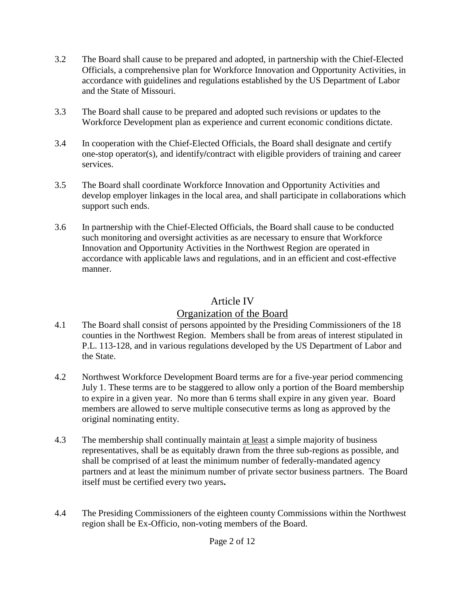- 3.2 The Board shall cause to be prepared and adopted, in partnership with the Chief-Elected Officials, a comprehensive plan for Workforce Innovation and Opportunity Activities, in accordance with guidelines and regulations established by the US Department of Labor and the State of Missouri.
- 3.3 The Board shall cause to be prepared and adopted such revisions or updates to the Workforce Development plan as experience and current economic conditions dictate.
- 3.4 In cooperation with the Chief-Elected Officials, the Board shall designate and certify one-stop operator(s), and identify**/**contract with eligible providers of training and career services.
- 3.5 The Board shall coordinate Workforce Innovation and Opportunity Activities and develop employer linkages in the local area, and shall participate in collaborations which support such ends.
- 3.6 In partnership with the Chief-Elected Officials, the Board shall cause to be conducted such monitoring and oversight activities as are necessary to ensure that Workforce Innovation and Opportunity Activities in the Northwest Region are operated in accordance with applicable laws and regulations, and in an efficient and cost-effective manner.

#### Article IV

### Organization of the Board

- 4.1 The Board shall consist of persons appointed by the Presiding Commissioners of the 18 counties in the Northwest Region. Members shall be from areas of interest stipulated in P.L. 113-128, and in various regulations developed by the US Department of Labor and the State.
- 4.2 Northwest Workforce Development Board terms are for a five-year period commencing July 1. These terms are to be staggered to allow only a portion of the Board membership to expire in a given year. No more than 6 terms shall expire in any given year. Board members are allowed to serve multiple consecutive terms as long as approved by the original nominating entity.
- 4.3 The membership shall continually maintain at least a simple majority of business representatives, shall be as equitably drawn from the three sub-regions as possible, and shall be comprised of at least the minimum number of federally-mandated agency partners and at least the minimum number of private sector business partners. The Board itself must be certified every two years**.**
- 4.4 The Presiding Commissioners of the eighteen county Commissions within the Northwest region shall be Ex-Officio, non-voting members of the Board.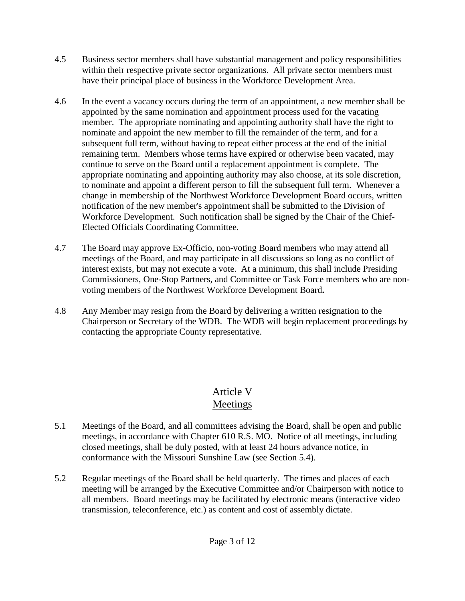- 4.5 Business sector members shall have substantial management and policy responsibilities within their respective private sector organizations. All private sector members must have their principal place of business in the Workforce Development Area.
- 4.6 In the event a vacancy occurs during the term of an appointment, a new member shall be appointed by the same nomination and appointment process used for the vacating member. The appropriate nominating and appointing authority shall have the right to nominate and appoint the new member to fill the remainder of the term, and for a subsequent full term, without having to repeat either process at the end of the initial remaining term. Members whose terms have expired or otherwise been vacated, may continue to serve on the Board until a replacement appointment is complete. The appropriate nominating and appointing authority may also choose, at its sole discretion, to nominate and appoint a different person to fill the subsequent full term. Whenever a change in membership of the Northwest Workforce Development Board occurs, written notification of the new member's appointment shall be submitted to the Division of Workforce Development. Such notification shall be signed by the Chair of the Chief-Elected Officials Coordinating Committee.
- 4.7 The Board may approve Ex-Officio, non-voting Board members who may attend all meetings of the Board*,* and may participate in all discussions so long as no conflict of interest exists, but may not execute a vote. At a minimum, this shall include Presiding Commissioners, One-Stop Partners, and Committee or Task Force members who are nonvoting members of the Northwest Workforce Development Board**.**
- 4.8 Any Member may resign from the Board by delivering a written resignation to the Chairperson or Secretary of the WDB. The WDB will begin replacement proceedings by contacting the appropriate County representative.

## Article V Meetings

- 5.1 Meetings of the Board, and all committees advising the Board, shall be open and public meetings, in accordance with Chapter 610 R.S. MO. Notice of all meetings, including closed meetings, shall be duly posted, with at least 24 hours advance notice, in conformance with the Missouri Sunshine Law (see Section 5.4).
- 5.2 Regular meetings of the Board shall be held quarterly. The times and places of each meeting will be arranged by the Executive Committee and/or Chairperson with notice to all members. Board meetings may be facilitated by electronic means (interactive video transmission, teleconference, etc.) as content and cost of assembly dictate.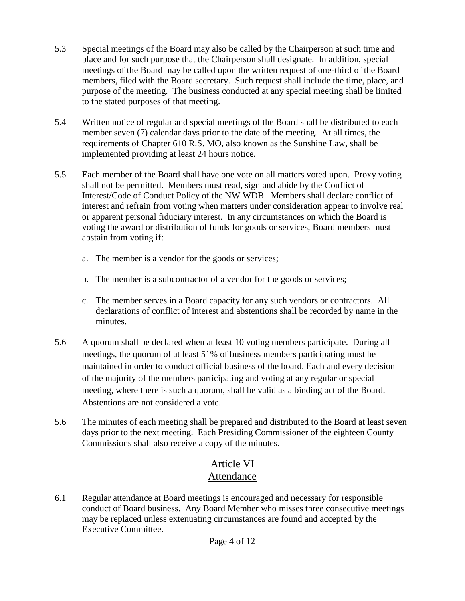- 5.3 Special meetings of the Board may also be called by the Chairperson at such time and place and for such purpose that the Chairperson shall designate. In addition, special meetings of the Board may be called upon the written request of one-third of the Board members, filed with the Board secretary. Such request shall include the time, place, and purpose of the meeting. The business conducted at any special meeting shall be limited to the stated purposes of that meeting.
- 5.4 Written notice of regular and special meetings of the Board shall be distributed to each member seven (7) calendar days prior to the date of the meeting.At all times, the requirements of Chapter 610 R.S. MO, also known as the Sunshine Law, shall be implemented providing at least 24 hours notice.
- 5.5 Each member of the Board shall have one vote on all matters voted upon. Proxy voting shall not be permitted. Members must read, sign and abide by the Conflict of Interest/Code of Conduct Policy of the NW WDB. Members shall declare conflict of interest and refrain from voting when matters under consideration appear to involve real or apparent personal fiduciary interest. In any circumstances on which the Board is voting the award or distribution of funds for goods or services, Board members must abstain from voting if:
	- a. The member is a vendor for the goods or services;
	- b. The member is a subcontractor of a vendor for the goods or services;
	- c. The member serves in a Board capacity for any such vendors or contractors. All declarations of conflict of interest and abstentions shall be recorded by name in the minutes.
- 5.6 A quorum shall be declared when at least 10 voting members participate. During all meetings, the quorum of at least 51% of business members participating must be maintained in order to conduct official business of the board. Each and every decision of the majority of the members participating and voting at any regular or special meeting, where there is such a quorum, shall be valid as a binding act of the Board. Abstentions are not considered a vote.
- 5.6 The minutes of each meeting shall be prepared and distributed to the Board at least seven days prior to the next meeting. Each Presiding Commissioner of the eighteen County Commissions shall also receive a copy of the minutes.

# Article VI Attendance

6.1 Regular attendance at Board meetings is encouraged and necessary for responsible conduct of Board business. Any Board Member who misses three consecutive meetings may be replaced unless extenuating circumstances are found and accepted by the Executive Committee.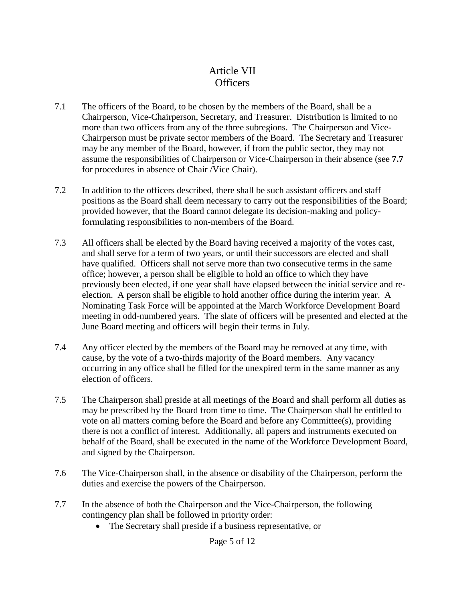## Article VII **Officers**

- 7.1 The officers of the Board, to be chosen by the members of the Board, shall be a Chairperson, Vice-Chairperson, Secretary, and Treasurer. Distribution is limited to no more than two officers from any of the three subregions. The Chairperson and Vice-Chairperson must be private sector members of the Board*.* The Secretary and Treasurer may be any member of the Board, however, if from the public sector, they may not assume the responsibilities of Chairperson or Vice-Chairperson in their absence (see **7.7** for procedures in absence of Chair /Vice Chair).
- 7.2 In addition to the officers described, there shall be such assistant officers and staff positions as the Board shall deem necessary to carry out the responsibilities of the Board; provided however, that the Board cannot delegate its decision-making and policyformulating responsibilities to non-members of the Board.
- 7.3 All officers shall be elected by the Board having received a majority of the votes cast, and shall serve for a term of two years, or until their successors are elected and shall have qualified. Officers shall not serve more than two consecutive terms in the same office; however, a person shall be eligible to hold an office to which they have previously been elected, if one year shall have elapsed between the initial service and reelection. A person shall be eligible to hold another office during the interim year. A Nominating Task Force will be appointed at the March Workforce Development Board meeting in odd-numbered years. The slate of officers will be presented and elected at the June Board meeting and officers will begin their terms in July.
- 7.4 Any officer elected by the members of the Board may be removed at any time, with cause, by the vote of a two-thirds majority of the Board members. Any vacancy occurring in any office shall be filled for the unexpired term in the same manner as any election of officers.
- 7.5 The Chairperson shall preside at all meetings of the Board and shall perform all duties as may be prescribed by the Board from time to time. The Chairperson shall be entitled to vote on all matters coming before the Board and before any Committee(s), providing there is not a conflict of interest. Additionally, all papers and instruments executed on behalf of the Board, shall be executed in the name of the Workforce Development Board, and signed by the Chairperson.
- 7.6 The Vice-Chairperson shall, in the absence or disability of the Chairperson, perform the duties and exercise the powers of the Chairperson.
- 7.7 In the absence of both the Chairperson and the Vice-Chairperson, the following contingency plan shall be followed in priority order:
	- The Secretary shall preside if a business representative, or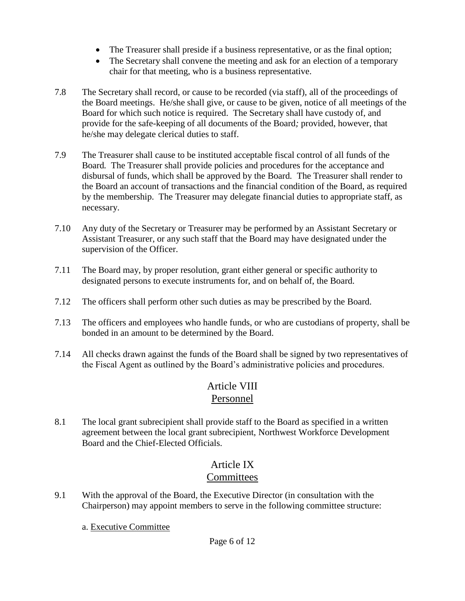- The Treasurer shall preside if a business representative, or as the final option;
- The Secretary shall convene the meeting and ask for an election of a temporary chair for that meeting, who is a business representative.
- 7.8 The Secretary shall record, or cause to be recorded (via staff)*,* all of the proceedings of the Board meetings. He/she shall give, or cause to be given, notice of all meetings of the Board for which such notice is required. The Secretary shall have custody of, and provide for the safe-keeping of all documents of the Board*;* provided, however, that he/she may delegate clerical duties to staff.
- 7.9 The Treasurer shall cause to be instituted acceptable fiscal control of all funds of the Board*.* The Treasurer shall provide policies and procedures for the acceptance and disbursal of funds, which shall be approved by the Board*.* The Treasurer shall render to the Board an account of transactions and the financial condition of the Board, as required by the membership. The Treasurer may delegate financial duties to appropriate staff, as necessary.
- 7.10 Any duty of the Secretary or Treasurer may be performed by an Assistant Secretary or Assistant Treasurer, or any such staff that the Board may have designated under the supervision of the Officer.
- 7.11 The Board may, by proper resolution, grant either general or specific authority to designated persons to execute instruments for, and on behalf of, the Board*.*
- 7.12 The officers shall perform other such duties as may be prescribed by the Board*.*
- 7.13 The officers and employees who handle funds, or who are custodians of property, shall be bonded in an amount to be determined by the Board.
- 7.14 All checks drawn against the funds of the Board shall be signed by two representatives of the Fiscal Agent as outlined by the Board's administrative policies and procedures.

## Article VIII Personnel

8.1 The local grant subrecipient shall provide staff to the Board as specified in a written agreement between the local grant subrecipient, Northwest Workforce Development Board and the Chief-Elected Officials.

### Article IX **Committees**

- 9.1 With the approval of the Board*,* the Executive Director (in consultation with the Chairperson) may appoint members to serve in the following committee structure:
	- a. Executive Committee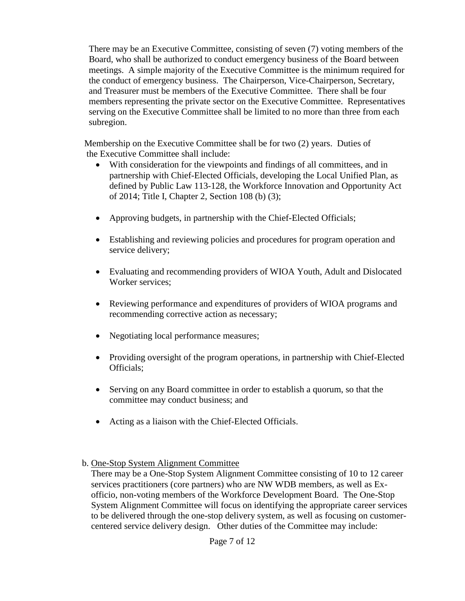There may be an Executive Committee, consisting of seven (7) voting members of the Board*,* who shall be authorized to conduct emergency business of the Board between meetings. A simple majority of the Executive Committee is the minimum required for the conduct of emergency business.The Chairperson, Vice-Chairperson, Secretary, and Treasurer must be members of the Executive Committee. There shall be four members representing the private sector on the Executive Committee. Representatives serving on the Executive Committee shall be limited to no more than three from each subregion.

Membership on the Executive Committee shall be for two (2) years. Duties of the Executive Committee shall include:

- With consideration for the viewpoints and findings of all committees, and in partnership with Chief-Elected Officials, developing the Local Unified Plan, as defined by Public Law 113-128, the Workforce Innovation and Opportunity Act of 2014; Title I, Chapter 2, Section 108 (b) (3);
- Approving budgets, in partnership with the Chief-Elected Officials;
- Establishing and reviewing policies and procedures for program operation and service delivery;
- Evaluating and recommending providers of WIOA Youth, Adult and Dislocated Worker services;
- Reviewing performance and expenditures of providers of WIOA programs and recommending corrective action as necessary;
- Negotiating local performance measures;
- Providing oversight of the program operations, in partnership with Chief-Elected Officials;
- Serving on any Board committee in order to establish a quorum, so that the committee may conduct business; and
- Acting as a liaison with the Chief-Elected Officials.
- b. One-Stop System Alignment Committee
	- There may be a One-Stop System Alignment Committee consisting of 10 to 12 career services practitioners (core partners) who are NW WDB members, as well as Exofficio, non-voting members of the Workforce Development Board. The One-Stop System Alignment Committee will focus on identifying the appropriate career services to be delivered through the one-stop delivery system, as well as focusing on customercentered service delivery design. Other duties of the Committee may include: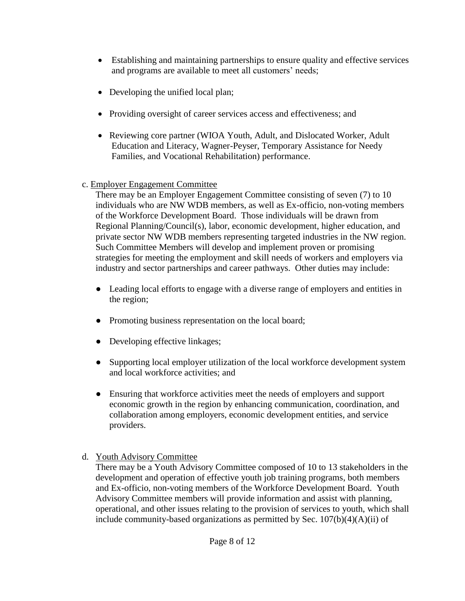- Establishing and maintaining partnerships to ensure quality and effective services and programs are available to meet all customers' needs;
- Developing the unified local plan;
- Providing oversight of career services access and effectiveness; and
- Reviewing core partner (WIOA Youth, Adult, and Dislocated Worker, Adult Education and Literacy, Wagner-Peyser, Temporary Assistance for Needy Families, and Vocational Rehabilitation) performance.
- c. Employer Engagement Committee

There may be an Employer Engagement Committee consisting of seven (7) to 10 individuals who are NW WDB members, as well as Ex-officio, non-voting members of the Workforce Development Board. Those individuals will be drawn from Regional Planning/Council(s), labor, economic development, higher education, and private sector NW WDB members representing targeted industries in the NW region. Such Committee Members will develop and implement proven or promising strategies for meeting the employment and skill needs of workers and employers via industry and sector partnerships and career pathways. Other duties may include:

- Leading local efforts to engage with a diverse range of employers and entities in the region;
- Promoting business representation on the local board;
- Developing effective linkages;
- Supporting local employer utilization of the local workforce development system and local workforce activities; and
- Ensuring that workforce activities meet the needs of employers and support economic growth in the region by enhancing communication, coordination, and collaboration among employers, economic development entities, and service providers.
- d. Youth Advisory Committee

There may be a Youth Advisory Committee composed of 10 to 13 stakeholders in the development and operation of effective youth job training programs, both members and Ex-officio, non-voting members of the Workforce Development Board. Youth Advisory Committee members will provide information and assist with planning, operational, and other issues relating to the provision of services to youth, which shall include community-based organizations as permitted by Sec. 107(b)(4)(A)(ii) of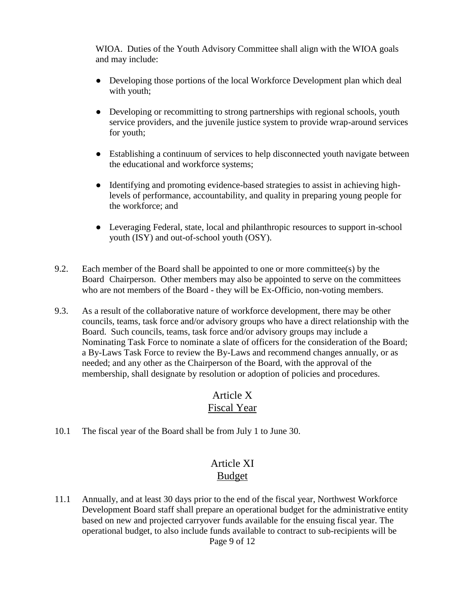WIOA. Duties of the Youth Advisory Committee shall align with the WIOA goals and may include:

- Developing those portions of the local Workforce Development plan which deal with youth;
- Developing or recommitting to strong partnerships with regional schools, youth service providers, and the juvenile justice system to provide wrap-around services for youth;
- Establishing a continuum of services to help disconnected youth navigate between the educational and workforce systems;
- Identifying and promoting evidence-based strategies to assist in achieving highlevels of performance, accountability, and quality in preparing young people for the workforce; and
- Leveraging Federal, state, local and philanthropic resources to support in-school youth (ISY) and out-of-school youth (OSY).
- 9.2. Each member of the Board shall be appointed to one or more committee(s) by the Board Chairperson. Other members may also be appointed to serve on the committees who are not members of the Board - they will be Ex-Officio, non-voting members.
- 9.3. As a result of the collaborative nature of workforce development, there may be other councils, teams, task force and/or advisory groups who have a direct relationship with the Board. Such councils, teams, task force and/or advisory groups may include a Nominating Task Force to nominate a slate of officers for the consideration of the Board; a By-Laws Task Force to review the By-Laws and recommend changes annually, or as needed; and any other as the Chairperson of the Board, with the approval of the membership, shall designate by resolution or adoption of policies and procedures.

#### Article X Fiscal Year

10.1 The fiscal year of the Board shall be from July 1 to June 30.

## Article XI Budget

Page 9 of 12 11.1 Annually, and at least 30 days prior to the end of the fiscal year, Northwest Workforce Development Board staff shall prepare an operational budget for the administrative entity based on new and projected carryover funds available for the ensuing fiscal year. The operational budget, to also include funds available to contract to sub-recipients will be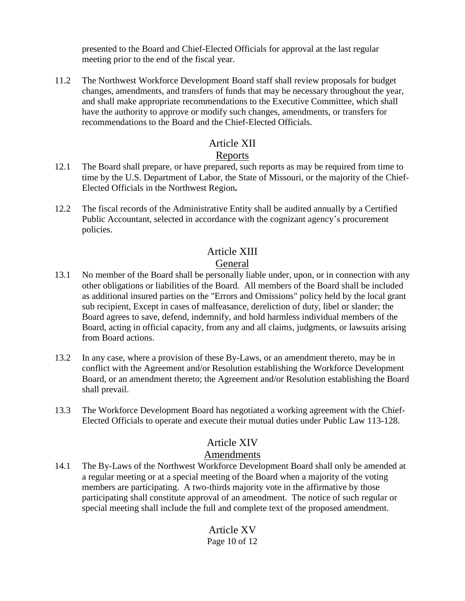presented to the Board and Chief-Elected Officials for approval at the last regular meeting prior to the end of the fiscal year.

11.2 The Northwest Workforce Development Board staff shall review proposals for budget changes, amendments, and transfers of funds that may be necessary throughout the year, and shall make appropriate recommendations to the Executive Committee, which shall have the authority to approve or modify such changes, amendments, or transfers for recommendations to the Board and the Chief-Elected Officials.

#### Article XII

#### Reports

- 12.1 The Board shall prepare, or have prepared, such reports as may be required from time to time by the U.S. Department of Labor, the State of Missouri, or the majority of the Chief-Elected Officials in the Northwest Region**.**
- 12.2 The fiscal records of the Administrative Entity shall be audited annually by a Certified Public Accountant, selected in accordance with the cognizant agency's procurement policies.

### Article XIII

#### General

- 13.1 No member of the Board shall be personally liable under, upon, or in connection with any other obligations or liabilities of the Board*.* All members of the Board shall be included as additional insured parties on the "Errors and Omissions" policy held by the local grant sub recipient, Except in cases of malfeasance, dereliction of duty, libel or slander; the Board agrees to save, defend, indemnify, and hold harmless individual members of the Board, acting in official capacity, from any and all claims, judgments, or lawsuits arising from Board actions.
- 13.2 In any case, where a provision of these By-Laws, or an amendment thereto, may be in conflict with the Agreement and/or Resolution establishing the Workforce Development Board, or an amendment thereto; the Agreement and/or Resolution establishing the Board shall prevail.
- 13.3 The Workforce Development Board has negotiated a working agreement with the Chief-Elected Officials to operate and execute their mutual duties under Public Law 113-128.

### Article XIV

#### Amendments

14.1 The By-Laws of the Northwest Workforce Development Board shall only be amended at a regular meeting or at a special meeting of the Board when a majority of the voting members are participating. A two-thirds majority vote in the affirmative by those participating shall constitute approval of an amendment. The notice of such regular or special meeting shall include the full and complete text of the proposed amendment.

#### Page 10 of 12 Article XV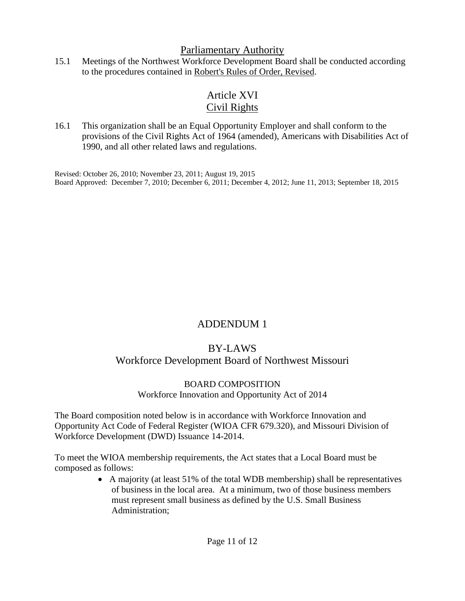#### Parliamentary Authority

15.1 Meetings of the Northwest Workforce Development Board shall be conducted according to the procedures contained in Robert's Rules of Order, Revised.

# Article XVI Civil Rights

16.1 This organization shall be an Equal Opportunity Employer and shall conform to the provisions of the Civil Rights Act of 1964 (amended), Americans with Disabilities Act of 1990, and all other related laws and regulations.

Revised: October 26, 2010; November 23, 2011; August 19, 2015 Board Approved: December 7, 2010; December 6, 2011; December 4, 2012; June 11, 2013; September 18, 2015

## ADDENDUM 1

## BY-LAWS

### Workforce Development Board of Northwest Missouri

#### BOARD COMPOSITION

#### Workforce Innovation and Opportunity Act of 2014

The Board composition noted below is in accordance with Workforce Innovation and Opportunity Act Code of Federal Register (WIOA CFR 679.320), and Missouri Division of Workforce Development (DWD) Issuance 14-2014.

To meet the WIOA membership requirements, the Act states that a Local Board must be composed as follows:

 A majority (at least 51% of the total WDB membership) shall be representatives of business in the local area. At a minimum, two of those business members must represent small business as defined by the U.S. Small Business Administration;